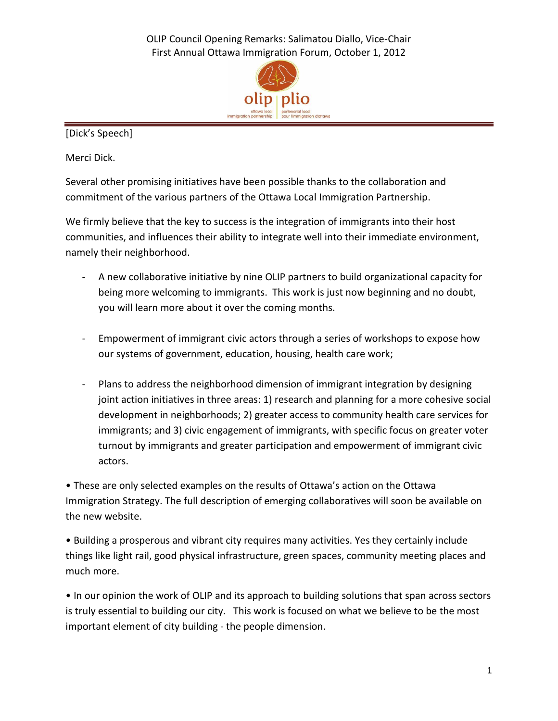OLIP Council Opening Remarks: Salimatou Diallo, Vice-Chair First Annual Ottawa Immigration Forum, October 1, 2012



[Dick's Speech]

Merci Dick.

Several other promising initiatives have been possible thanks to the collaboration and commitment of the various partners of the Ottawa Local Immigration Partnership.

We firmly believe that the key to success is the integration of immigrants into their host communities, and influences their ability to integrate well into their immediate environment, namely their neighborhood.

- A new collaborative initiative by nine OLIP partners to build organizational capacity for being more welcoming to immigrants. This work is just now beginning and no doubt, you will learn more about it over the coming months.
- Empowerment of immigrant civic actors through a series of workshops to expose how our systems of government, education, housing, health care work;
- Plans to address the neighborhood dimension of immigrant integration by designing joint action initiatives in three areas: 1) research and planning for a more cohesive social development in neighborhoods; 2) greater access to community health care services for immigrants; and 3) civic engagement of immigrants, with specific focus on greater voter turnout by immigrants and greater participation and empowerment of immigrant civic actors.

• These are only selected examples on the results of Ottawa's action on the Ottawa Immigration Strategy. The full description of emerging collaboratives will soon be available on the new website.

• Building a prosperous and vibrant city requires many activities. Yes they certainly include things like light rail, good physical infrastructure, green spaces, community meeting places and much more.

• In our opinion the work of OLIP and its approach to building solutions that span across sectors is truly essential to building our city. This work is focused on what we believe to be the most important element of city building - the people dimension.